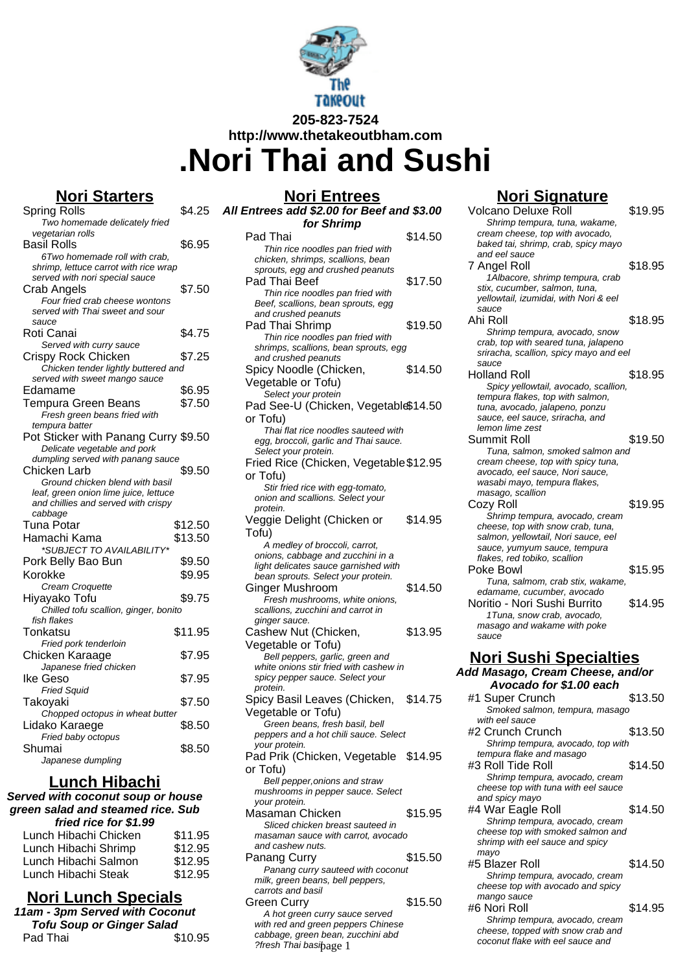

# **205-823-7524 http://www.thetakeoutbham.com .Nori Thai and Sushi**

## **Nori Starters**

| Spring Rolls                                      | \$4.25  |
|---------------------------------------------------|---------|
| Two homemade delicately fried                     |         |
| vegetarian rolls                                  |         |
| Basil Rolls                                       | \$6.95  |
| 6Two homemade roll with crab,                     |         |
| shrimp, lettuce carrot with rice wrap             |         |
| served with nori special sauce                    |         |
| <b>Crab Angels</b>                                | \$7.50  |
| Four fried crab cheese wontons                    |         |
| served with Thai sweet and sour                   |         |
| sauce                                             |         |
| Roti Canai                                        | \$4.75  |
| Served with curry sauce                           |         |
| Crispy Rock Chicken                               | \$7.25  |
| Chicken tender lightly buttered and               |         |
| served with sweet mango sauce                     |         |
| Edamame                                           | \$6.95  |
| Tempura Green Beans                               | \$7.50  |
| Fresh green beans fried with                      |         |
| tempura batter                                    |         |
| Pot Sticker with Panang Curry \$9.50              |         |
|                                                   |         |
| Delicate vegetable and pork                       |         |
| dumpling served with panang sauce<br>Chicken Larb |         |
|                                                   | \$9.50  |
|                                                   |         |
| Ground chicken blend with basil                   |         |
| leaf, green onion lime juice, lettuce             |         |
| and chillies and served with crispy               |         |
| cabbage                                           |         |
| Tuna Potar                                        | \$12.50 |
| Hamachi Kama                                      | \$13.50 |
| *SUBJECT TO AVAILABILITY                          |         |
| Pork Belly Bao Bun                                | \$9.50  |
| Korokke                                           | \$9.95  |
|                                                   |         |
| Cream Croquette                                   |         |
| Hiyayako Tofu                                     | \$9.75  |
| Chilled tofu scallion, ginger, bonito             |         |
| fish flakes                                       |         |
| Tonkatsu                                          | \$11.95 |
| Fried pork tenderloin                             |         |
| Chicken Karaage                                   | \$7.95  |
| Japanese fried chicken                            |         |
| Ike Geso                                          | \$7.95  |
| <b>Fried Squid</b>                                |         |
| Takoyaki                                          | \$7.50  |
| Chopped octopus in wheat butter                   |         |
| Lidako Karaege                                    | \$8.50  |
| Fried baby octopus                                |         |
| Shumai<br>Japanese dumpling                       | \$8.50  |

## **Lunch Hibachi**

**Served with coconut soup or house green salad and steamed rice. Sub fried rice for \$1.99**

| Lunch Hibachi Chicken | \$11.95 |
|-----------------------|---------|
| Lunch Hibachi Shrimp  | \$12.95 |
| Lunch Hibachi Salmon  | \$12.95 |
| Lunch Hibachi Steak   | \$12.95 |
|                       |         |

## **Nori Lunch Specials**

| 11am - 3pm Served with Coconut   |         |
|----------------------------------|---------|
| <b>Tofu Soup or Ginger Salad</b> |         |
| Pad Thai                         | \$10.95 |

| <u>Nori Entrees</u>                                                          |         |
|------------------------------------------------------------------------------|---------|
| All Entrees add \$2.00 for Beef and \$3.00                                   |         |
| for Shrimp                                                                   |         |
| Pad Thai                                                                     | \$14.50 |
| Thin rice noodles pan fried with                                             |         |
| chicken, shrimps, scallions, bean<br>sprouts, egg and crushed peanuts        |         |
| Pad Thai Beef                                                                | \$17.50 |
| Thin rice noodles pan fried with                                             |         |
| Beef, scallions, bean sprouts, egg                                           |         |
| and crushed peanuts                                                          |         |
| Pad Thai Shrimp                                                              | \$19.50 |
| Thin rice noodles pan fried with<br>shrimps, scallions, bean sprouts, egg    |         |
| and crushed peanuts                                                          |         |
| Spicy Noodle (Chicken,                                                       | \$14.50 |
| Vegetable or Tofu)                                                           |         |
| Select your protein                                                          |         |
| Pad See-U (Chicken, Vegetable\$14.50                                         |         |
| or Tofu)                                                                     |         |
| Thai flat rice noodles sauteed with<br>egg, broccoli, garlic and Thai sauce. |         |
| Select your protein.                                                         |         |
| Fried Rice (Chicken, Vegetable \$12.95                                       |         |
| or Tofu)                                                                     |         |
| Stir fried rice with egg-tomato,                                             |         |
| onion and scallions. Select your                                             |         |
| protein.<br>Veggie Delight (Chicken or                                       | \$14.95 |
| Tofu)                                                                        |         |
| A medley of broccoli, carrot,                                                |         |
| onions, cabbage and zucchini in a                                            |         |
| light delicates sauce garnished with                                         |         |
| bean sprouts. Select your protein.                                           |         |
| Ginger Mushroom<br>Fresh mushrooms, white onions,                            | \$14.50 |
| scallions, zucchini and carrot in                                            |         |
| ginger sauce.                                                                |         |
| Cashew Nut (Chicken,                                                         | \$13.95 |
| Vegetable or Tofu)                                                           |         |
| Bell peppers, garlic, green and                                              |         |
| white onions stir fried with cashew in<br>spicy pepper sauce. Select your    |         |
| protein.                                                                     |         |
| Spicy Basil Leaves (Chicken,                                                 | \$14.75 |
| Vegetable or Tofu)                                                           |         |
| Green beans, fresh basil, bell                                               |         |
| peppers and a hot chili sauce. Select                                        |         |
| your protein.<br>Pad Prik (Chicken, Vegetable \$14.95                        |         |
| or Tofu)                                                                     |         |
| Bell pepper, onions and straw                                                |         |
| mushrooms in pepper sauce. Select                                            |         |
| your protein.                                                                |         |
| Masaman Chicken                                                              | \$15.95 |
| Sliced chicken breast sauteed in<br>masaman sauce with carrot, avocado       |         |
| and cashew nuts.                                                             |         |
| Panang Curry                                                                 | \$15.50 |
| Panang curry sauteed with coconut                                            |         |
| milk, green beans, bell peppers,                                             |         |
| carrots and basil                                                            | \$15.50 |
| Green Curry                                                                  |         |

### A hot green curry sauce served with red and green peppers Chinese cabbage, green bean, zucchini abd edbbage, green bear, Easemmande Coconut flake with eel sauce and presh Thai basi $\beta$ age 1

## **Nori Signature**

| Volcano Deluxe Roll                                                    | \$19.95 |
|------------------------------------------------------------------------|---------|
| Shrimp tempura, tuna, wakame,                                          |         |
| cream cheese, top with avocado,                                        |         |
| baked tai, shrimp, crab, spicy mayo                                    |         |
| and eel sauce                                                          |         |
| 7 Angel Roll                                                           | \$18.95 |
| 1Albacore, shrimp tempura, crab                                        |         |
| stix, cucumber, salmon, tuna,<br>yellowtail, izumidai, with Nori & eel |         |
| sauce                                                                  |         |
| Ahi Roll                                                               | \$18.95 |
| Shrimp tempura, avocado, snow                                          |         |
| crab, top with seared tuna, jalapeno                                   |         |
| sriracha, scallion, spicy mayo and eel                                 |         |
| sauce                                                                  |         |
| Holland Roll                                                           | \$18.95 |
| Spicy yellowtail, avocado, scallion,                                   |         |
| tempura flakes, top with salmon,                                       |         |
| tuna, avocado, jalapeno, ponzu<br>sauce, eel sauce, sriracha, and      |         |
| lemon lime zest                                                        |         |
| Summit Roll                                                            | \$19.50 |
| Tuna, salmon, smoked salmon and                                        |         |
| cream cheese, top with spicy tuna,                                     |         |
| avocado, eel sauce, Nori sauce,                                        |         |
| wasabi mayo, tempura flakes,                                           |         |
| masago, scallion                                                       |         |
| Cozy Roll                                                              | \$19.95 |
| Shrimp tempura, avocado, cream                                         |         |
| cheese, top with snow crab, tuna,                                      |         |
| salmon, yellowtail, Nori sauce, eel                                    |         |
| sauce, yumyum sauce, tempura<br>flakes, red tobiko, scallion           |         |
| Poke Bowl                                                              |         |
|                                                                        |         |
|                                                                        | \$15.95 |
| Tuna, salmom, crab stix, wakame,                                       |         |
| edamame, cucumber, avocado                                             |         |
| Noritio - Nori Sushi Burrito                                           | \$14.95 |
| 1Tuna, snow crab, avocado,<br>masago and wakame with poke              |         |
| sauce                                                                  |         |
|                                                                        |         |
| <u> Nori Sushi Specialties</u>                                         |         |
| Add Masago, Cream Cheese, and/or                                       |         |
| Avocado for \$1.00 each                                                |         |
| #1 Super Crunch                                                        | \$13.50 |
| Smoked salmon, tempura, masago                                         |         |
| with eel sauce                                                         |         |
| #2 Crunch Crunch                                                       | \$13.50 |
| Shrimp tempura, avocado, top with                                      |         |
| tempura flake and masago                                               |         |
| #3 Roll Tide Roll                                                      | \$14.50 |
| Shrimp tempura, avocado, cream                                         |         |
| cheese top with tuna with eel sauce                                    |         |
| and spicy mayo                                                         |         |
| #4 War Eagle Roll                                                      | \$14.50 |
| Shrimp tempura, avocado, cream                                         |         |
| cheese top with smoked salmon and<br>shrimp with eel sauce and spicy   |         |
| mayo                                                                   |         |
| #5 Blazer Roll                                                         | \$14.50 |
| Shrimp tempura, avocado, cream                                         |         |
| cheese top with avocado and spicy                                      |         |
| mango sauce                                                            |         |
| #6 Nori Roll                                                           | \$14.95 |
| Shrimp tempura, avocado, cream<br>cheese, topped with snow crab and    |         |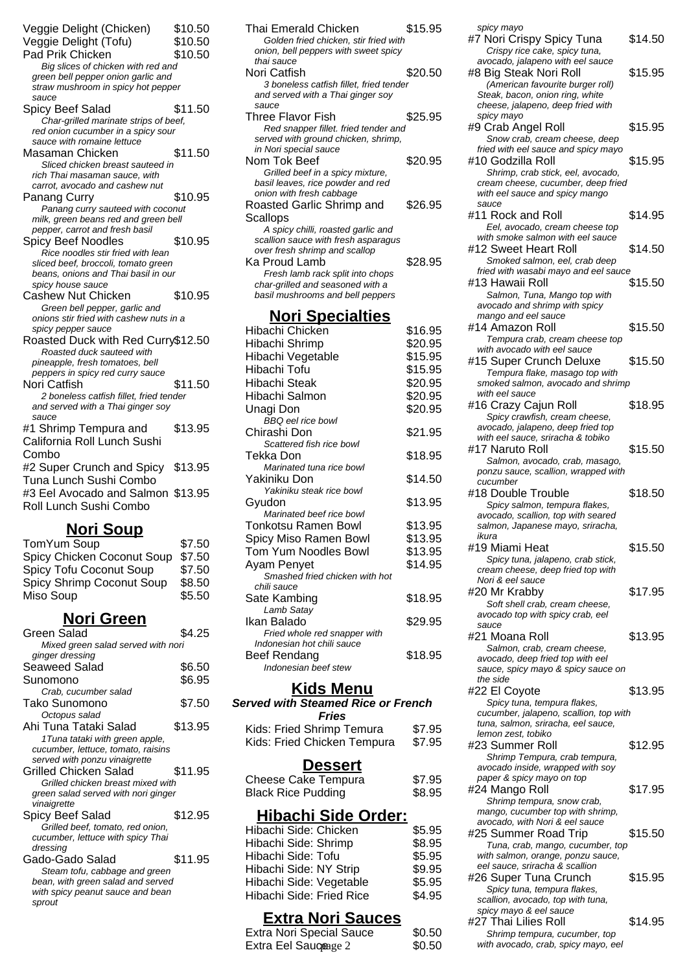| Veggie Delight (Chicken)                                                 | \$10.50 |
|--------------------------------------------------------------------------|---------|
| Veggie Delight (Tofu)                                                    | \$10.50 |
| Pad Prik Chicken                                                         | \$10.50 |
| Big slices of chicken with red and                                       |         |
| green bell pepper onion garlic and                                       |         |
| straw mushroom in spicy hot pepper                                       |         |
| sauce                                                                    |         |
| Spicy Beef Salad                                                         | \$11.50 |
| Char-grilled marinate strips of beef,                                    |         |
| red onion cucumber in a spicy sour                                       |         |
| sauce with romaine lettuce                                               |         |
| Masaman Chicken                                                          | \$11.50 |
| Sliced chicken breast sauteed in                                         |         |
| rich Thai masaman sauce, with                                            |         |
| carrot, avocado and cashew nut                                           |         |
| Panang Curry                                                             | \$10.95 |
| Panang curry sauteed with coconut                                        |         |
| milk, green beans red and green bell                                     |         |
| pepper, carrot and fresh basil                                           |         |
| Spicy Beef Noodles                                                       | \$10.95 |
| Rice noodles stir fried with lean                                        |         |
| sliced beef, broccoli, tomato green                                      |         |
| beans, onions and Thai basil in our                                      |         |
| spicy house sauce<br><b>Cashew Nut Chicken</b>                           |         |
|                                                                          | \$10.95 |
| Green bell pepper, garlic and<br>onions stir fried with cashew nuts in a |         |
| spicy pepper sauce                                                       |         |
| Roasted Duck with Red Curry\$12.50                                       |         |
| Roasted duck sauteed with                                                |         |
| pineapple, fresh tomatoes, bell                                          |         |
| peppers in spicy red curry sauce                                         |         |
| Nori Catfish                                                             | \$11.50 |
| 2 boneless catfish fillet, fried tender                                  |         |
| and served with a Thai ginger soy                                        |         |
| sauce                                                                    |         |
| #1 Shrimp Tempura and                                                    | \$13.95 |
| California Roll Lunch Sushi                                              |         |
| Combo                                                                    |         |
| #2 Super Crunch and Spicy                                                | \$13.95 |
| Tuna Lunch Sushi Combo                                                   |         |
|                                                                          |         |
| #3 Eel Avocado and Salmon \$13.95                                        |         |
| Roll Lunch Sushi Combo                                                   |         |
| Nori Soup                                                                |         |

| \$7.50 |
|--------|
| \$7.50 |
| \$7.50 |
| \$8.50 |
| \$5.50 |
|        |

## **Nori Green**

| Green Salad                         | \$4.25  |
|-------------------------------------|---------|
| Mixed green salad served with nori  |         |
| ginger dressing                     |         |
| Seaweed Salad                       | \$6.50  |
| Sunomono                            | \$6.95  |
| Crab, cucumber salad                |         |
| Tako Sunomono                       | \$7.50  |
| Octopus salad                       |         |
| Ahi Tuna Tataki Salad               | \$13.95 |
| 1 Tuna tataki with green apple,     |         |
| cucumber, lettuce, tomato, raisins  |         |
| served with ponzu vinaigrette       |         |
| Grilled Chicken Salad               | \$11.95 |
| Grilled chicken breast mixed with   |         |
| green salad served with nori ginger |         |
| vinaigrette                         |         |
| Spicy Beef Salad                    | \$12.95 |
| Grilled beef, tomato, red onion,    |         |
| cucumber, lettuce with spicy Thai   |         |
| dressing                            |         |
| Gado-Gado Salad                     | \$11.95 |
| Steam tofu, cabbage and green       |         |
| bean, with green salad and served   |         |
| with spicy peanut sauce and bean    |         |
| sprout                              |         |
|                                     |         |

| Thai Emerald Chicken<br>Golden fried chicken, stir fried with                         | \$15.95 |
|---------------------------------------------------------------------------------------|---------|
| onion, bell peppers with sweet spicy<br>thai sauce                                    |         |
| Nori Catfish                                                                          | \$20.50 |
| 3 boneless catfish fillet, fried tender<br>and served with a Thai ginger soy<br>sauce |         |
| Three Flavor Fish                                                                     | \$25.95 |
| Red snapper fillet. fried tender and                                                  |         |
| served with ground chicken, shrimp,                                                   |         |
| in Nori special sauce<br>Nom Tok Beef                                                 | \$20.95 |
| Grilled beef in a spicy mixture,                                                      |         |
| basil leaves, rice powder and red                                                     |         |
| onion with fresh cabbage                                                              |         |
| Roasted Garlic Shrimp and                                                             | \$26.95 |
| <b>Scallops</b>                                                                       |         |
| A spicy chilli, roasted garlic and                                                    |         |
| scallion sauce with fresh asparagus                                                   |         |
| over fresh shrimp and scallop                                                         |         |
| Ka Proud Lamb                                                                         | \$28.95 |
| Fresh lamb rack split into chops<br>char-grilled and seasoned with a                  |         |
| basil mushrooms and bell peppers                                                      |         |
|                                                                                       |         |
| <u> Nori Specialties</u>                                                              |         |
| Hibachi Chicken                                                                       | \$16.95 |
| Hibachi Shrimp                                                                        | \$20.95 |
| Hibachi Vegetable                                                                     | \$15.95 |
| Hibachi Tofu                                                                          | \$15.95 |
| <b>Hibachi Steak</b>                                                                  | \$20.95 |
| Hibachi Salmon                                                                        | \$20.95 |
| Unagi Don                                                                             | \$20.95 |
| <b>BBQ</b> eel rice bowl                                                              |         |
| Chirashi Don                                                                          | \$21.95 |
| Scattered fish rice bowl                                                              |         |
| Tekka Don                                                                             | \$18.95 |
| Marinated tuna rice bowl                                                              |         |
| Yakiniku Don<br>Yakiniku steak rice bowl                                              | \$14.50 |
| Gyudon                                                                                | \$13.95 |
| Marinated beef rice bowl                                                              |         |
| Tonkotsu Ramen Bowl                                                                   | \$13.95 |
| Spicy Miso Ramen Bowl                                                                 | \$13.95 |
| Tom Yum Noodles Bowl                                                                  | \$13.95 |
| Ayam Penyet                                                                           | \$14.95 |
| Smashed fried chicken with hot                                                        |         |
| chili sauce                                                                           |         |
| Sate Kambing                                                                          | \$18.95 |
| Lamb Satay                                                                            |         |
| Ikan Balado                                                                           | \$29.95 |
| Fried whole red snapper with                                                          |         |
| Indonesian hot chili sauce<br><b>Beef Rendang</b>                                     | \$18.95 |
| Indonesian beef stew                                                                  |         |
|                                                                                       |         |

### **Kids Menu**

#### **Served with Steamed Rice or French Fries**

| Kids: Fried Shrimp Temura   | \$7.95 |
|-----------------------------|--------|
| Kids: Fried Chicken Tempura | \$7.95 |

### **Dessert**

| Cheese Cake Tempura       | \$7.95 |
|---------------------------|--------|
| <b>Black Rice Pudding</b> | \$8.95 |

## **Hibachi Side Order:**

| Hibachi Side: Chicken    | \$5.95 |
|--------------------------|--------|
| Hibachi Side: Shrimp     | \$8.95 |
| Hibachi Side: Tofu       | \$5.95 |
| Hibachi Side: NY Strip   | \$9.95 |
| Hibachi Side: Vegetable  | \$5.95 |
| Hibachi Side: Fried Rice | \$4.95 |
|                          |        |

## **Extra Nori Sauces**

| <b>Extra Nori Special Sauce</b> | \$0.50 |
|---------------------------------|--------|
| Extra Eel Saugeage 2            | \$0.50 |

| spicy mayo<br>#7 Nori Crispy Spicy Tuna<br>Crispy rice cake, spicy tuna,                                                          | \$14.50 |
|-----------------------------------------------------------------------------------------------------------------------------------|---------|
| avocado, jalapeno with eel sauce<br>#8 Big Steak Nori Roll<br>(American favourite burger roll)<br>Steak, bacon, onion ring, white | \$15.95 |
| cheese, jalapeno, deep fried with                                                                                                 |         |
| spicy mayo<br>#9 Crab Angel Roll                                                                                                  | \$15.95 |
| Snow crab, cream cheese, deep<br>fried with eel sauce and spicy mayo<br>#10 Godzilla Roll                                         | \$15.95 |
| Shrimp, crab stick, eel, avocado,<br>cream cheese, cucumber, deep fried                                                           |         |
| with eel sauce and spicy mango                                                                                                    |         |
| sauce<br>#11 Rock and Roll<br>Eel, avocado, cream cheese top                                                                      | \$14.95 |
| with smoke salmon with eel sauce<br>#12 Sweet Heart Roll<br>Smoked salmon, eel, crab deep                                         | \$14.50 |
| fried with wasabi mayo and eel sauce                                                                                              |         |
| #13 Hawaii Roll                                                                                                                   | \$15.50 |
| Salmon, Tuna, Mango top with<br>avocado and shrimp with spicy<br>mango and eel sauce                                              |         |
| #14 Amazon Roll<br>Tempura crab, cream cheese top                                                                                 | \$15.50 |
| with avocado with eel sauce                                                                                                       |         |
| #15 Super Crunch Deluxe                                                                                                           | \$15.50 |
| Tempura flake, masago top with<br>smoked salmon, avocado and shrimp                                                               |         |
| with eel sauce                                                                                                                    |         |
| #16 Crazy Cajun Roll                                                                                                              | \$18.95 |
| Spicy crawfish, cream cheese,<br>avocado, jalapeno, deep fried top                                                                |         |
| with eel sauce, sriracha & tobiko                                                                                                 |         |
| #17 Naruto Roll                                                                                                                   | \$15.50 |
| Salmon, avocado, crab, masago,<br>ponzu sauce, scallion, wrapped with                                                             |         |
| cucumber                                                                                                                          |         |
|                                                                                                                                   |         |
| #18 Double Trouble                                                                                                                | \$18.50 |
| Spicy salmon, tempura flakes,                                                                                                     |         |
| avocado, scallion, top with seared<br>salmon, Japanese mayo, sriracha,                                                            |         |
| ikura                                                                                                                             |         |
| #19 Miami Heat                                                                                                                    | \$15.50 |
| Spicy tuna, jalapeno, crab stick,<br>cream cheese, deep fried top with                                                            |         |
| Nori & eel sauce                                                                                                                  |         |
| #20 Mr Krabby                                                                                                                     | \$17.95 |
| Soft shell crab, cream cheese,<br>avocado top with spicy crab, eel                                                                |         |
| sauce                                                                                                                             |         |
| #21 Moana Roll                                                                                                                    | \$13.95 |
| Salmon, crab, cream cheese,<br>avocado, deep fried top with eel                                                                   |         |
| sauce, spicy mayo & spicy sauce on                                                                                                |         |
| the side                                                                                                                          | \$13.95 |
| #22 El Coyote<br>Spicy tuna, tempura flakes,                                                                                      |         |
| cucumber, jalapeno, scallion, top with                                                                                            |         |
| tuna, salmon, sriracha, eel sauce,<br>lemon zest, tobiko                                                                          |         |
| #23 Summer Roll                                                                                                                   | \$12.95 |
| Shrimp Tempura, crab tempura,                                                                                                     |         |
| avocado inside, wrapped with soy<br>paper & spicy mayo on top                                                                     |         |
| #24 Mango Roll                                                                                                                    | \$17.95 |
| Shrimp tempura, snow crab,                                                                                                        |         |
| mango, cucumber top with shrimp,<br>avocado, with Nori & eel sauce                                                                |         |
| #25 Summer Road Trip                                                                                                              | \$15.50 |
| Tuna, crab, mango, cucumber, top<br>with salmon, orange, ponzu sauce,                                                             |         |
| eel sauce, sriracha & scallion                                                                                                    |         |
| #26 Super Tuna Crunch                                                                                                             | \$15.95 |
| Spicy tuna, tempura flakes,<br>scallion, avocado, top with tuna,                                                                  |         |
| spicy mayo & eel sauce                                                                                                            |         |
| #27 Thai Lilies Roll<br>Shrimp tempura, cucumber, top                                                                             | \$14.95 |